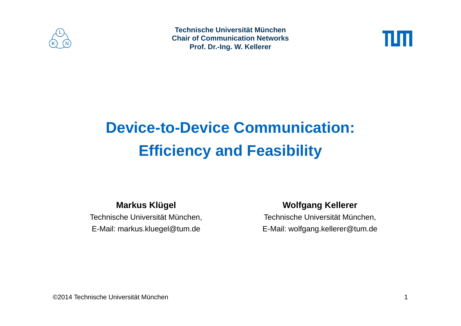

**Technische Universität MünchenChair of Communication NetworksProf. Dr.-Ing. W. Kellerer**



# **Device-to-Device Communication: Efficiency and Feasibility**

#### **Markus Klügel**

Technische Universität München, E-Mail: markus.kluegel@tum.de

#### **Wolfgang Kellerer**

Technische Universität München, E-Mail: wolfgang.kellerer@tum.de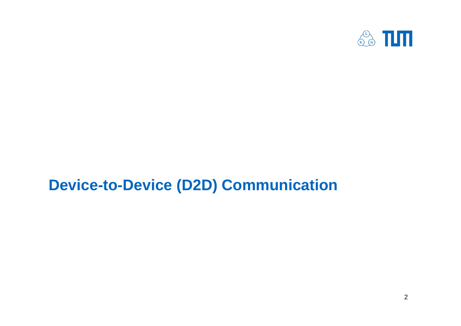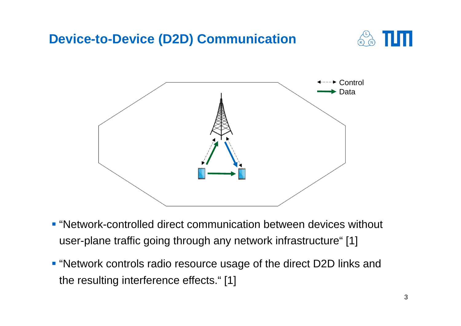

- "Network-controlled direct communication between devices without user-plane traffic going through any network infrastructure" [1]
- "Network controls radio resource usage of the direct D2D links and the resulting interference effects." [1]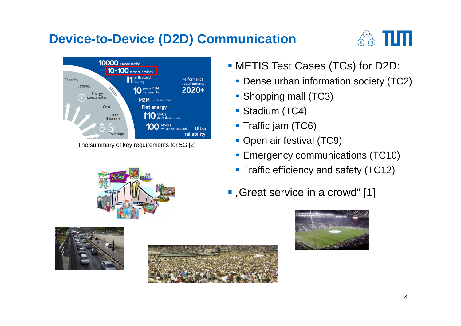



The summary of key requirements for 5G [2]

- METIS Test Cases (TCs) for D2D:
	- **Dense urban information society (TC2)**
	- **Shopping mall (TC3)**
	- Stadium (TC4)
	- **Traffic jam (TC6)**
	- **Open air festival (TC9)**
	- **Emergency communications (TC10)**
	- **Traffic efficiency and safety (TC12)**
- **.** "Great service in a crowd" [1]







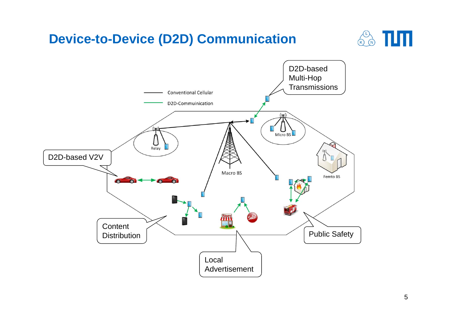

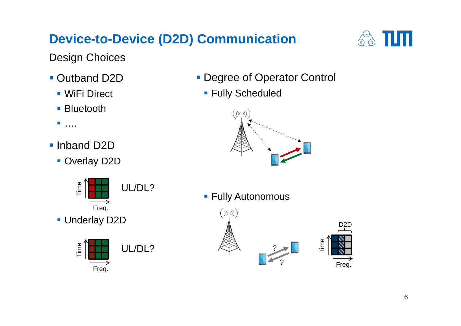

Design Choices

- Outband D2D
	- WiFi Direct
	- **Bluetooth**

■ ....

- **Inband D2D** 
	- **Overlay D2D**



**Underlay D2D** 



- **Degree of Operator Control** 
	- **Fully Scheduled**



**Fully Autonomous** 

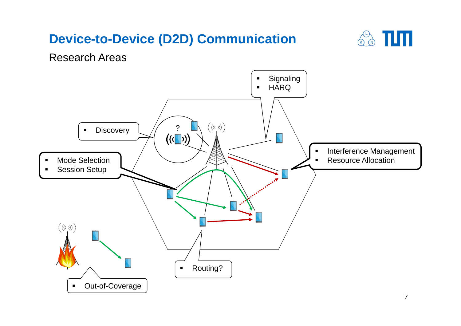

Research Areas

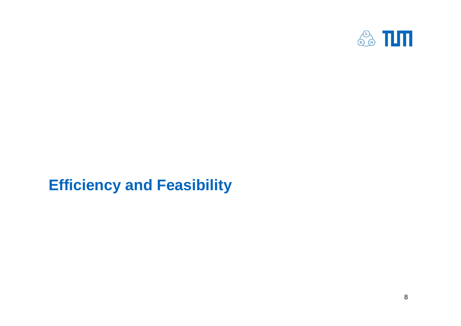

# **Efficiency and Feasibility**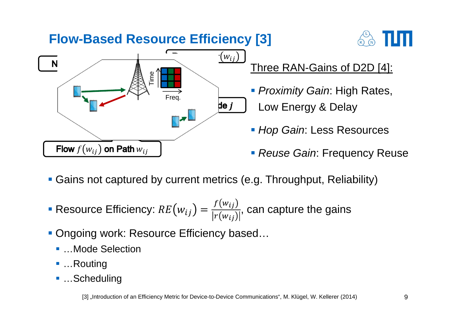

- Gains not captured by current metrics (e.g. Throughput, Reliability)
- Resource Efficiency:  $RE(w_{ij}) = \frac{f(w_{ij})}{|r(w_{ij})|}$ , can capture the gains
- Ongoing work: Resource Efficiency based...
	- ... Mode Selection
	- ...Routing
	- ...Scheduling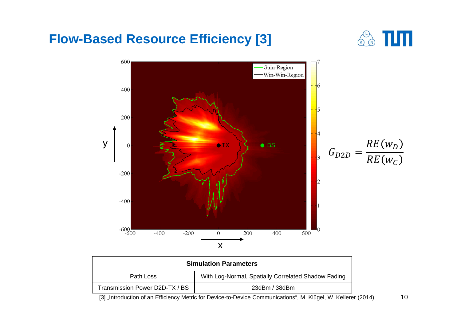

| <b>Simulation Parameters</b>   |                                                     |
|--------------------------------|-----------------------------------------------------|
| Path Loss                      | With Log-Normal, Spatially Correlated Shadow Fading |
| Transmission Power D2D-TX / BS | $23$ dBm / $38$ dBm                                 |

[3] "Introduction of an Efficiency Metric for Device-to-Device Communications", M. Klügel, W. Kellerer (2014)

10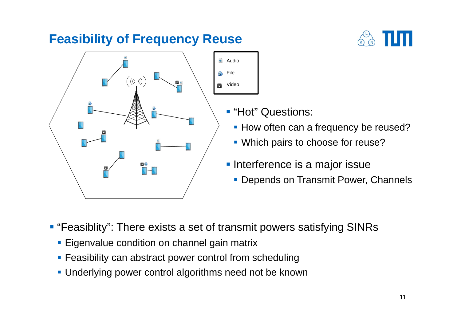#### **Feasibility of Frequency Reuse**





- **"Hot" Questions:** 
	- **How often can a frequency be reused?**
	- **Which pairs to choose for reuse?**
- **Interference is a major issue** 
	- **Depends on Transmit Power, Channels**

**• "Feasiblity": There exists a set of transmit powers satisfying SINRs** 

File

Video

- **Eigenvalue condition on channel gain matrix**
- **Feasibility can abstract power control from scheduling**
- Underlying power control algorithms need not be known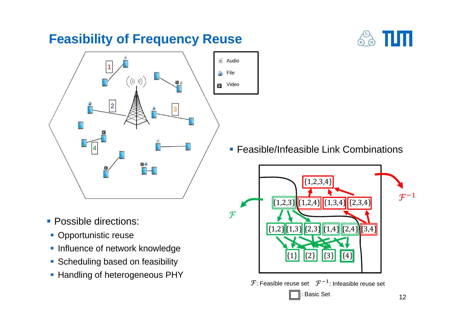#### **Feasibility of Frequency Reuse**





- **Possible directions:**
- **Opportunistic reuse**
- **Influence of network knowledge**
- **Scheduling based on feasibility**
- **Handling of heterogeneous PHY**

**Feasible/Infeasible Link Combinations** 



 ${\mathcal F}$ : Feasible reuse set  $\;\;{\mathcal F}^{-1}\:$ : Infeasible reuse set

: Basic Set